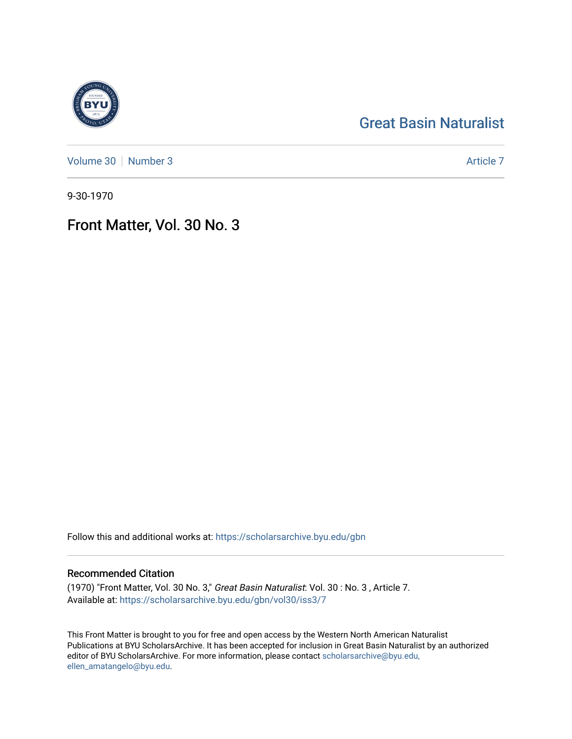## [Great Basin Naturalist](https://scholarsarchive.byu.edu/gbn)

[Volume 30](https://scholarsarchive.byu.edu/gbn/vol30) [Number 3](https://scholarsarchive.byu.edu/gbn/vol30/iss3) Article 7

9-30-1970

## Front Matter, Vol. 30 No. 3

Follow this and additional works at: [https://scholarsarchive.byu.edu/gbn](https://scholarsarchive.byu.edu/gbn?utm_source=scholarsarchive.byu.edu%2Fgbn%2Fvol30%2Fiss3%2F7&utm_medium=PDF&utm_campaign=PDFCoverPages) 

### Recommended Citation

(1970) "Front Matter, Vol. 30 No. 3," Great Basin Naturalist: Vol. 30 : No. 3 , Article 7. Available at: [https://scholarsarchive.byu.edu/gbn/vol30/iss3/7](https://scholarsarchive.byu.edu/gbn/vol30/iss3/7?utm_source=scholarsarchive.byu.edu%2Fgbn%2Fvol30%2Fiss3%2F7&utm_medium=PDF&utm_campaign=PDFCoverPages)

This Front Matter is brought to you for free and open access by the Western North American Naturalist Publications at BYU ScholarsArchive. It has been accepted for inclusion in Great Basin Naturalist by an authorized editor of BYU ScholarsArchive. For more information, please contact [scholarsarchive@byu.edu,](mailto:scholarsarchive@byu.edu,%20ellen_amatangelo@byu.edu) [ellen\\_amatangelo@byu.edu](mailto:scholarsarchive@byu.edu,%20ellen_amatangelo@byu.edu).

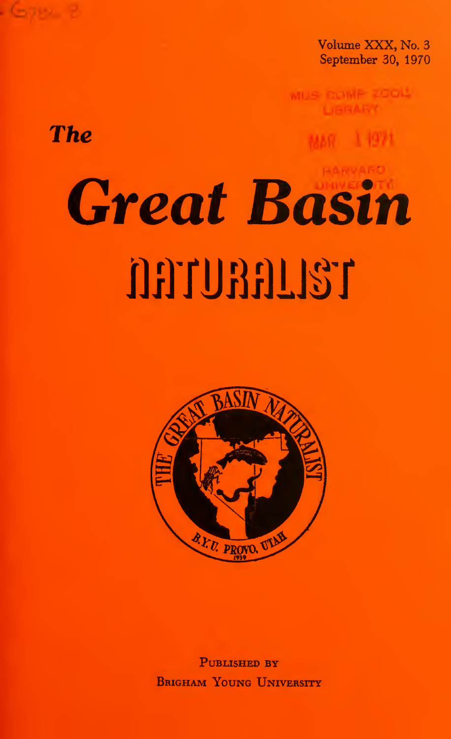Volume XXX, No. 3 September 30, 1970

# **The**

# **Great Basin** naunang



PUBLISHED BY **BRIGHAM YOUNG UNIVERSITY**